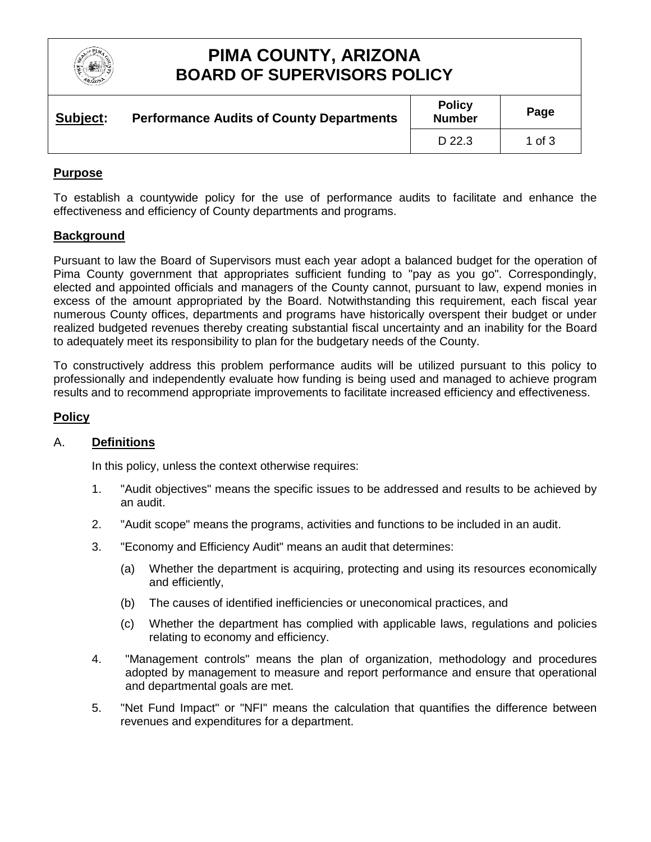

# **PIMA COUNTY, ARIZONA BOARD OF SUPERVISORS POLICY**

| Subject: | <b>Performance Audits of County Departments</b> | <b>Policy</b><br><b>Number</b> | Page   |
|----------|-------------------------------------------------|--------------------------------|--------|
|          |                                                 | D 22.3                         | 1 of 3 |

#### **Purpose**

To establish a countywide policy for the use of performance audits to facilitate and enhance the effectiveness and efficiency of County departments and programs.

### **Background**

Pursuant to law the Board of Supervisors must each year adopt a balanced budget for the operation of Pima County government that appropriates sufficient funding to "pay as you go". Correspondingly, elected and appointed officials and managers of the County cannot, pursuant to law, expend monies in excess of the amount appropriated by the Board. Notwithstanding this requirement, each fiscal year numerous County offices, departments and programs have historically overspent their budget or under realized budgeted revenues thereby creating substantial fiscal uncertainty and an inability for the Board to adequately meet its responsibility to plan for the budgetary needs of the County.

To constructively address this problem performance audits will be utilized pursuant to this policy to professionally and independently evaluate how funding is being used and managed to achieve program results and to recommend appropriate improvements to facilitate increased efficiency and effectiveness.

### **Policy**

#### A. **Definitions**

In this policy, unless the context otherwise requires:

- 1. "Audit objectives" means the specific issues to be addressed and results to be achieved by an audit.
- 2. "Audit scope" means the programs, activities and functions to be included in an audit.
- 3. "Economy and Efficiency Audit" means an audit that determines:
	- (a) Whether the department is acquiring, protecting and using its resources economically and efficiently,
	- (b) The causes of identified inefficiencies or uneconomical practices, and
	- (c) Whether the department has complied with applicable laws, regulations and policies relating to economy and efficiency.
- 4. "Management controls" means the plan of organization, methodology and procedures adopted by management to measure and report performance and ensure that operational and departmental goals are met.
- 5. "Net Fund Impact" or "NFI" means the calculation that quantifies the difference between revenues and expenditures for a department.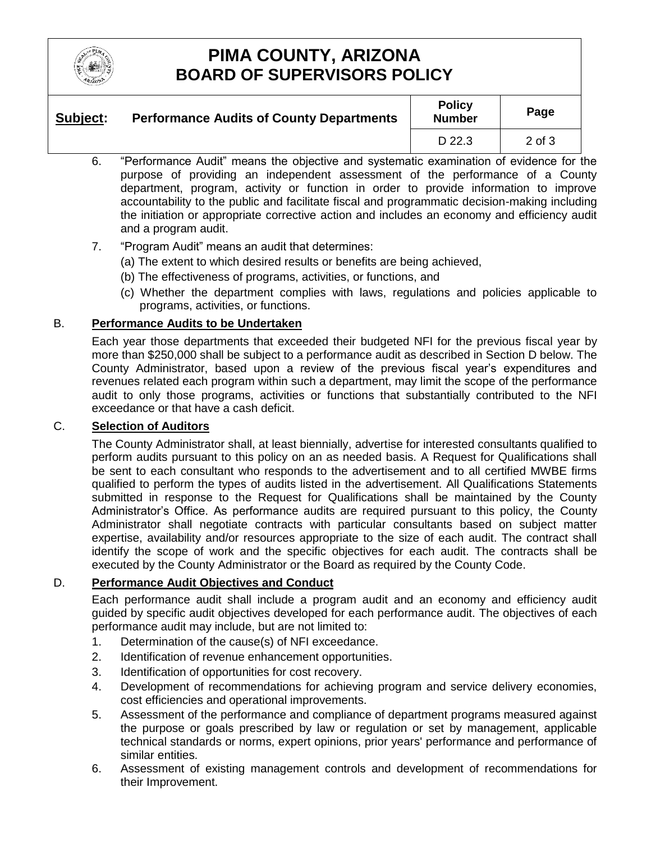

# **PIMA COUNTY, ARIZONA BOARD OF SUPERVISORS POLICY**

| Subject: | <b>Performance Audits of County Departments</b> | <b>Policy</b><br><b>Number</b> | Page       |
|----------|-------------------------------------------------|--------------------------------|------------|
|          |                                                 | D 22.3                         | $2$ of $3$ |

- 6. "Performance Audit" means the objective and systematic examination of evidence for the purpose of providing an independent assessment of the performance of a County department, program, activity or function in order to provide information to improve accountability to the public and facilitate fiscal and programmatic decision-making including the initiation or appropriate corrective action and includes an economy and efficiency audit and a program audit.
- 7. "Program Audit" means an audit that determines:
	- (a) The extent to which desired results or benefits are being achieved,
	- (b) The effectiveness of programs, activities, or functions, and
	- (c) Whether the department complies with laws, regulations and policies applicable to programs, activities, or functions.

## B. **Performance Audits to be Undertaken**

Each year those departments that exceeded their budgeted NFI for the previous fiscal year by more than \$250,000 shall be subject to a performance audit as described in Section D below. The County Administrator, based upon a review of the previous fiscal year's expenditures and revenues related each program within such a department, may limit the scope of the performance audit to only those programs, activities or functions that substantially contributed to the NFI exceedance or that have a cash deficit.

## C. **Selection of Auditors**

The County Administrator shall, at least biennially, advertise for interested consultants qualified to perform audits pursuant to this policy on an as needed basis. A Request for Qualifications shall be sent to each consultant who responds to the advertisement and to all certified MWBE firms qualified to perform the types of audits listed in the advertisement. All Qualifications Statements submitted in response to the Request for Qualifications shall be maintained by the County Administrator's Office. As performance audits are required pursuant to this policy, the County Administrator shall negotiate contracts with particular consultants based on subject matter expertise, availability and/or resources appropriate to the size of each audit. The contract shall identify the scope of work and the specific objectives for each audit. The contracts shall be executed by the County Administrator or the Board as required by the County Code.

## D. **Performance Audit Objectives and Conduct**

Each performance audit shall include a program audit and an economy and efficiency audit guided by specific audit objectives developed for each performance audit. The objectives of each performance audit may include, but are not limited to:

- 1. Determination of the cause(s) of NFI exceedance.
- 2. Identification of revenue enhancement opportunities.
- 3. Identification of opportunities for cost recovery.
- 4. Development of recommendations for achieving program and service delivery economies, cost efficiencies and operational improvements.
- 5. Assessment of the performance and compliance of department programs measured against the purpose or goals prescribed by law or regulation or set by management, applicable technical standards or norms, expert opinions, prior years' performance and performance of similar entities.
- 6. Assessment of existing management controls and development of recommendations for their Improvement.